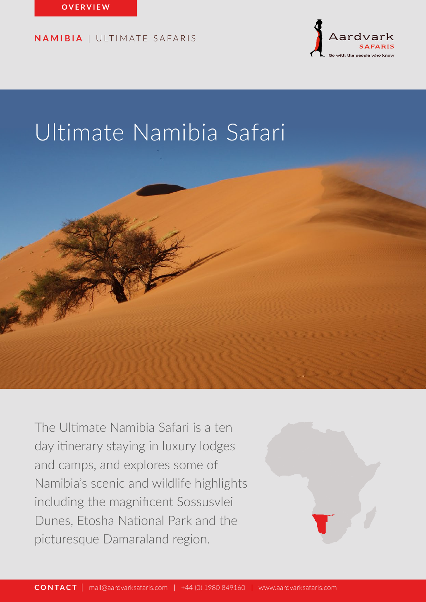

# Ultimate Namibia Safari



The Ultimate Namibia Safari is a ten day itinerary staying in luxury lodges and camps, and explores some of Namibia's scenic and wildlife highlights including the magnificent Sossusvlei Dunes, Etosha National Park and the picturesque Damaraland region.

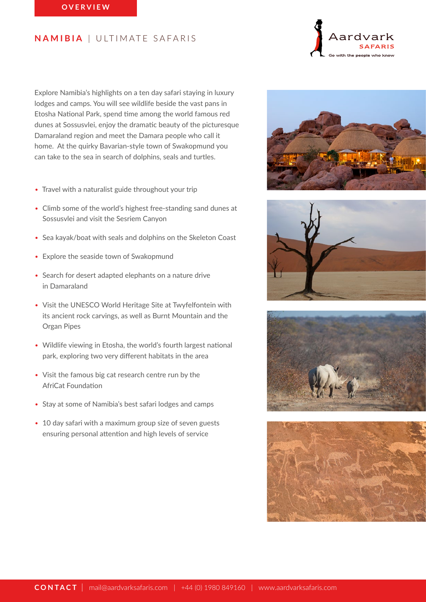Explore Namibia's highlights on a ten day safari staying in luxury lodges and camps. You will see wildlife beside the vast pans in Etosha National Park, spend time among the world famous red dunes at Sossusvlei, enjoy the dramatic beauty of the picturesque Damaraland region and meet the Damara people who call it home. At the quirky Bavarian-style town of Swakopmund you can take to the sea in search of dolphins, seals and turtles.

- Travel with a naturalist guide throughout your trip
- Climb some of the world's highest free-standing sand dunes at Sossusvlei and visit the Sesriem Canyon
- Sea kayak/boat with seals and dolphins on the Skeleton Coast
- Explore the seaside town of Swakopmund
- Search for desert adapted elephants on a nature drive in Damaraland
- Visit the UNESCO World Heritage Site at Twyfelfontein with its ancient rock carvings, as well as Burnt Mountain and the Organ Pipes
- Wildlife viewing in Etosha, the world's fourth largest national park, exploring two very different habitats in the area
- Visit the famous big cat research centre run by the AfriCat Foundation
- Stay at some of Namibia's best safari lodges and camps
- 10 day safari with a maximum group size of seven guests ensuring personal attention and high levels of service







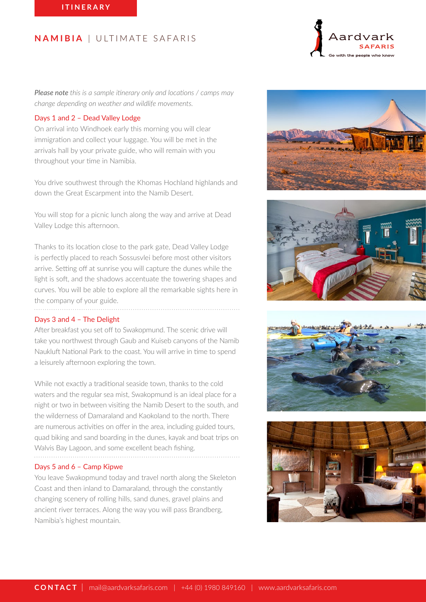Aardy

*Please note this is a sample itinerary only and locations / camps may change depending on weather and wildlife movements.*

## Days 1 and 2 – Dead Valley Lodge

On arrival into Windhoek early this morning you will clear immigration and collect your luggage. You will be met in the arrivals hall by your private guide, who will remain with you throughout your time in Namibia.

You drive southwest through the Khomas Hochland highlands and down the Great Escarpment into the Namib Desert.

You will stop for a picnic lunch along the way and arrive at Dead Valley Lodge this afternoon.

Thanks to its location close to the park gate, Dead Valley Lodge is perfectly placed to reach Sossusvlei before most other visitors arrive. Setting off at sunrise you will capture the dunes while the light is soft, and the shadows accentuate the towering shapes and curves. You will be able to explore all the remarkable sights here in the company of your guide.

#### Days 3 and 4 – The Delight

After breakfast you set off to Swakopmund. The scenic drive will take you northwest through Gaub and Kuiseb canyons of the Namib Naukluft National Park to the coast. You will arrive in time to spend a leisurely afternoon exploring the town.

While not exactly a traditional seaside town, thanks to the cold waters and the regular sea mist, Swakopmund is an ideal place for a night or two in between visiting the Namib Desert to the south, and the wilderness of Damaraland and Kaokoland to the north. There are numerous activities on offer in the area, including guided tours, quad biking and sand boarding in the dunes, kayak and boat trips on Walvis Bay Lagoon, and some excellent beach fishing.

#### Days 5 and 6 – Camp Kipwe

You leave Swakopmund today and travel north along the Skeleton Coast and then inland to Damaraland, through the constantly changing scenery of rolling hills, sand dunes, gravel plains and ancient river terraces. Along the way you will pass Brandberg, Namibia's highest mountain.







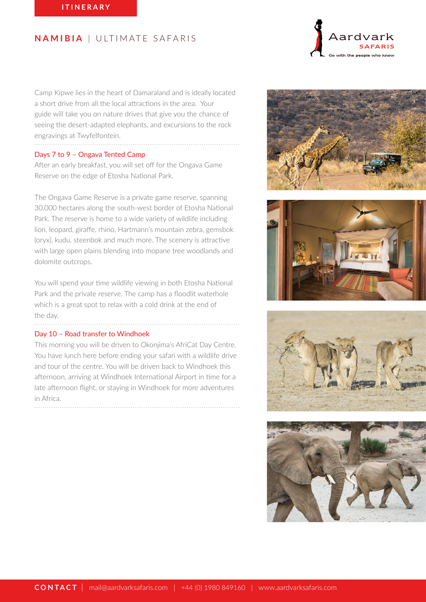Camp Kipwe lies in the heart of Damaraland and is ideally located a short drive from all the local attractions in the area. Your guide will take you on nature drives that give you the chance of seeing the desert-adapted elephants, and excursions to the rock engravings at Twyfelfontein.

#### Days 7 to 9 – Ongava Tented Camp

After an early breakfast, you will set off for the Ongava Game Reserve on the edge of Etosha National Park.

The Ongava Game Reserve is a private game reserve, spanning 30,000 hectares along the south-west border of Etosha National Park. The reserve is home to a wide variety of wildlife including lion, leopard, giraffe, rhino, Hartmann's mountain zebra, gemsbok (oryx), kudu, steenbok and much more. The scenery is attractive with large open plains blending into mopane tree woodlands and dolomite outcrops.

You will spend your time wildlife viewing in both Etosha National Park and the private reserve. The camp has a floodlit waterhole which is a great spot to relax with a cold drink at the end of the day.

#### Day 10 – Road transfer to Windhoek

This morning you will be driven to Okonjima's AfriCat Day Centre. You have lunch here before ending your safari with a wildlife drive and tour of the centre. You will be driven back to Windhoek this afternoon, arriving at Windhoek International Airport in time for a late afternoon flight, or staying in Windhoek for more adventures in Africa.



Aardvark





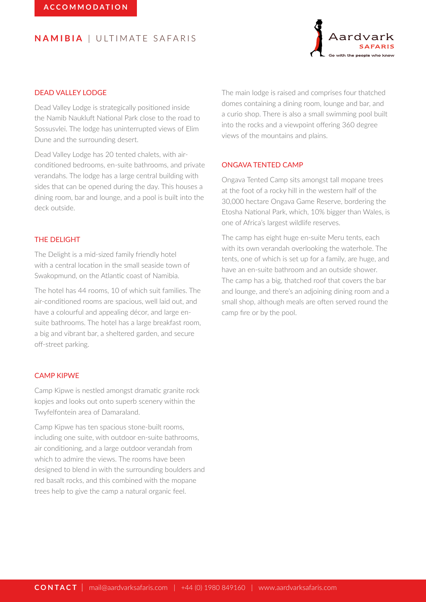

# DEAD VALLEY LODGE

Dead Valley Lodge is strategically positioned inside the Namib Naukluft National Park close to the road to Sossusvlei. The lodge has uninterrupted views of Elim Dune and the surrounding desert.

Dead Valley Lodge has 20 tented chalets, with airconditioned bedrooms, en-suite bathrooms, and private verandahs. The lodge has a large central building with sides that can be opened during the day. This houses a dining room, bar and lounge, and a pool is built into the deck outside.

## THE DELIGHT

The Delight is a mid-sized family friendly hotel with a central location in the small seaside town of Swakopmund, on the Atlantic coast of Namibia.

The hotel has 44 rooms, 10 of which suit families. The air-conditioned rooms are spacious, well laid out, and have a colourful and appealing décor, and large ensuite bathrooms. The hotel has a large breakfast room, a big and vibrant bar, a sheltered garden, and secure off-street parking.

### CAMP KIPWE

Camp Kipwe is nestled amongst dramatic granite rock kopjes and looks out onto superb scenery within the Twyfelfontein area of Damaraland.

Camp Kipwe has ten spacious stone-built rooms, including one suite, with outdoor en-suite bathrooms, air conditioning, and a large outdoor verandah from which to admire the views. The rooms have been designed to blend in with the surrounding boulders and red basalt rocks, and this combined with the mopane trees help to give the camp a natural organic feel.

The main lodge is raised and comprises four thatched domes containing a dining room, lounge and bar, and a curio shop. There is also a small swimming pool built into the rocks and a viewpoint offering 360 degree views of the mountains and plains.

#### ONGAVA TENTED CAMP

Ongava Tented Camp sits amongst tall mopane trees at the foot of a rocky hill in the western half of the 30,000 hectare Ongava Game Reserve, bordering the Etosha National Park, which, 10% bigger than Wales, is one of Africa's largest wildlife reserves.

The camp has eight huge en-suite Meru tents, each with its own verandah overlooking the waterhole. The tents, one of which is set up for a family, are huge, and have an en-suite bathroom and an outside shower. The camp has a big, thatched roof that covers the bar and lounge, and there's an adjoining dining room and a small shop, although meals are often served round the camp fire or by the pool.